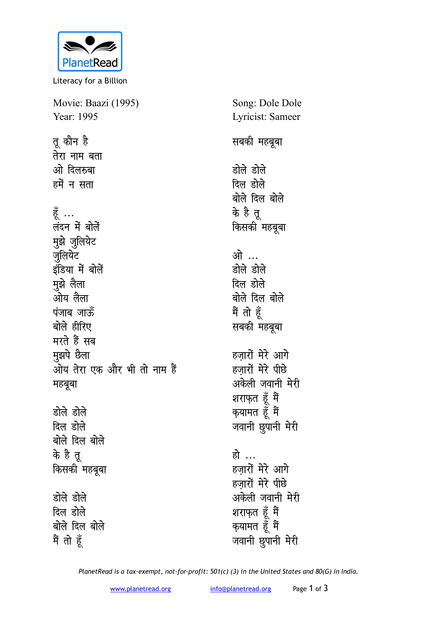

Literacy for a Billion

Movie: Baazi (1995) Year: 1995 तू कौन है

तेरा नाम बता ओ दिलरुबा हमें न सता हूँ ... लंदन में बोलें मुझे जुलियेट **जलियेट** इंडिया में बोलें मुझे लैला ओय लैला **पंजाब जा**ऊँ बोले हीरिए मरते हैं सब **मुझपे छैला** <u>जोय तेरा एक और भी तो नाम हैं</u> **महबूबा** डोले डोले

दिल डोले बोले दिल बोले **के है तू** *किसकी महबूबा* डोले डोले **दिल** होले बोले दिल बोले मैं तो हूँ

Song: Dole Dole Lyricist: Sameer **सबकी महबूबा** डोले डोले दिल डोले बोले दिल बोले के है त<u>ु</u> **किसकी** महबूबा <u>ओे</u>… डोले डोले दिल डोले बोले दिल बोले मैं तो हूँ **सबकी महबूबा** हजारों मेरे आगे हजारों मेरे पीछे अकेली जवानी मेरी शराफ़त हूँ मैं क्**यामत हूँ** मैं जवानी छुपानी मेरी हो … हज़ारों मेरे आगे हजारों मेरे पीछे अकेली जवानी मेरी शराफ़त हूँ मैं

क्**यामत हूँ** मैं जवानी छुपानी मेरी

*PlanetRead is a tax-exempt, not-for-profit: 501(c) (3) in the United States and 80(G) in India.*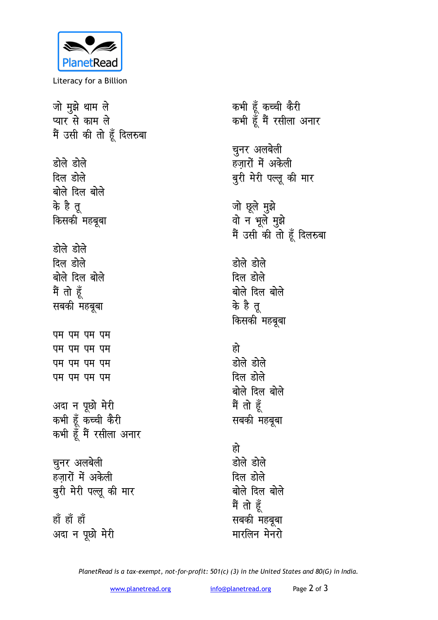

Literacy for a Billion

| जो मुझे थाम ले            | कभी हूँ कच्ची   |
|---------------------------|-----------------|
| प्यार से काम ले           | कभी हूँ मैं रस  |
| मैं उसी की तो हूँ दिलरुबा |                 |
|                           | चुनर अलबेली     |
| डोले डोले                 | हज़ारों में अके |
| दिल डोले                  | बुरी मेरी पल्लू |
| बोले दिल बोले             |                 |
| के है तू                  | जो छूले मुझे    |
| किसकी महबूबा              | वो न भूले मुइं  |
|                           | मैं उसी की तो   |
| डोले डोले                 |                 |
| दिल डोले                  | डोले डोले       |
| बोले दिल बोले             | दिल डोले        |
| मैं तो हूँ                | बोले दिल बोले   |
| सबकी महबूबा               | के है तू        |
|                           | किसकी महबूब     |
| पम पम पम पम               |                 |
| पम पम पम पम               | हो              |
| पम पम पम पम               | डोले डोले       |
| पम पम पम पम               | दिल डोले        |
|                           | बोले दिल बोले   |
| अदा न पूछो मेरी           | मैं तो हूँ      |
| कभी हूँ कच्ची कैरी        | सबकी महबूबा     |
| कभी हूँ मैं रसीला अनार    |                 |
|                           | हो              |
| चुनर अलबेली               | डोले डोले       |
| हज़ारों में अकेली         | दिल डोले        |
| बुरी मेरी पल्लू की मार    | बोले दिल बोले   |
|                           | मैं तो हूँ      |
| हाँ हाँ हाँ               | सबकी महबूबा     |
| अदा न पूछो मेरी           | मारलिन मेनरो    |

<del>pच्</del>वी कैरी  $\mathfrak k$  रसीला अनार **l**बेली अकेली पल्लू की मार जो छूले मुझ<mark>े</mark> वो न भूले मुझ<mark>े</mark> मैं उसी की तो हूँ दिलरुबा बोले lहबूबा <u>बोले</u> <sup>इबूबा</sup> बोले

*PlanetRead is a tax-exempt, not-for-profit: 501(c) (3) in the United States and 80(G) in India.*